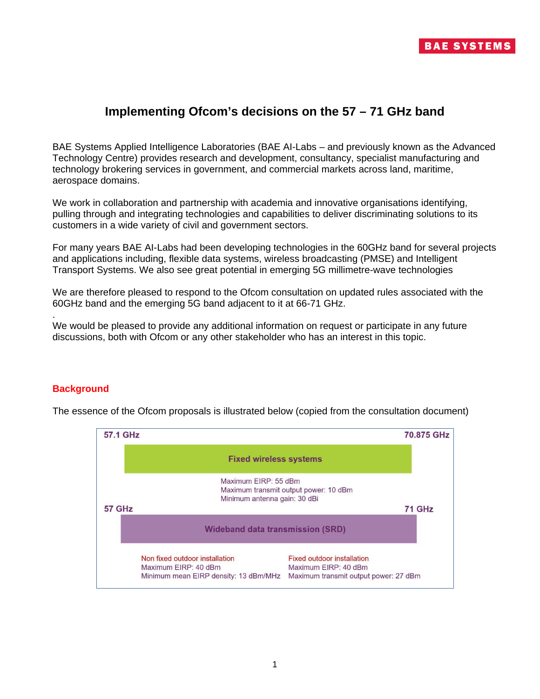

## **Implementing Ofcom's decisions on the 57 – 71 GHz band**

BAE Systems Applied Intelligence Laboratories (BAE AI-Labs – and previously known as the Advanced Technology Centre) provides research and development, consultancy, specialist manufacturing and technology brokering services in government, and commercial markets across land, maritime, aerospace domains.

We work in collaboration and partnership with academia and innovative organisations identifying, pulling through and integrating technologies and capabilities to deliver discriminating solutions to its customers in a wide variety of civil and government sectors.

For many years BAE AI-Labs had been developing technologies in the 60GHz band for several projects and applications including, flexible data systems, wireless broadcasting (PMSE) and Intelligent Transport Systems. We also see great potential in emerging 5G millimetre-wave technologies

We are therefore pleased to respond to the Ofcom consultation on updated rules associated with the 60GHz band and the emerging 5G band adjacent to it at 66-71 GHz.

. We would be pleased to provide any additional information on request or participate in any future discussions, both with Ofcom or any other stakeholder who has an interest in this topic.

## **Background**



The essence of the Ofcom proposals is illustrated below (copied from the consultation document)